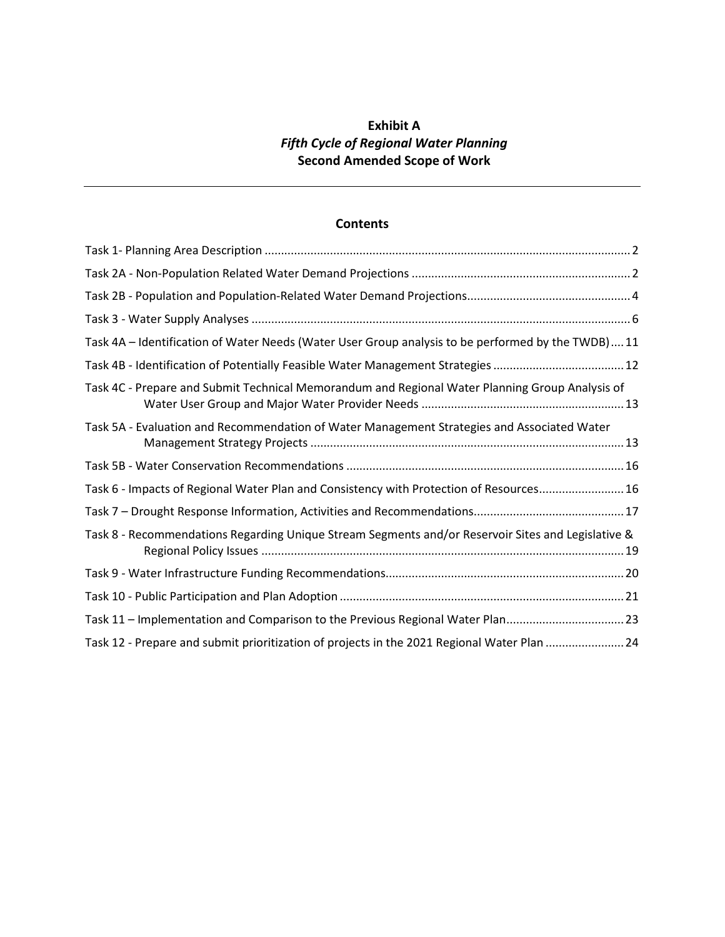# **Exhibit A** *Fifth Cycle of Regional Water Planning* **Second Amended Scope of Work**

# **Contents**

| Task 4A - Identification of Water Needs (Water User Group analysis to be performed by the TWDB) 11 |
|----------------------------------------------------------------------------------------------------|
| Task 4B - Identification of Potentially Feasible Water Management Strategies  12                   |
| Task 4C - Prepare and Submit Technical Memorandum and Regional Water Planning Group Analysis of    |
| Task 5A - Evaluation and Recommendation of Water Management Strategies and Associated Water        |
|                                                                                                    |
| Task 6 - Impacts of Regional Water Plan and Consistency with Protection of Resources 16            |
|                                                                                                    |
| Task 8 - Recommendations Regarding Unique Stream Segments and/or Reservoir Sites and Legislative & |
|                                                                                                    |
|                                                                                                    |
| Task 11 - Implementation and Comparison to the Previous Regional Water Plan23                      |
| Task 12 - Prepare and submit prioritization of projects in the 2021 Regional Water Plan 24         |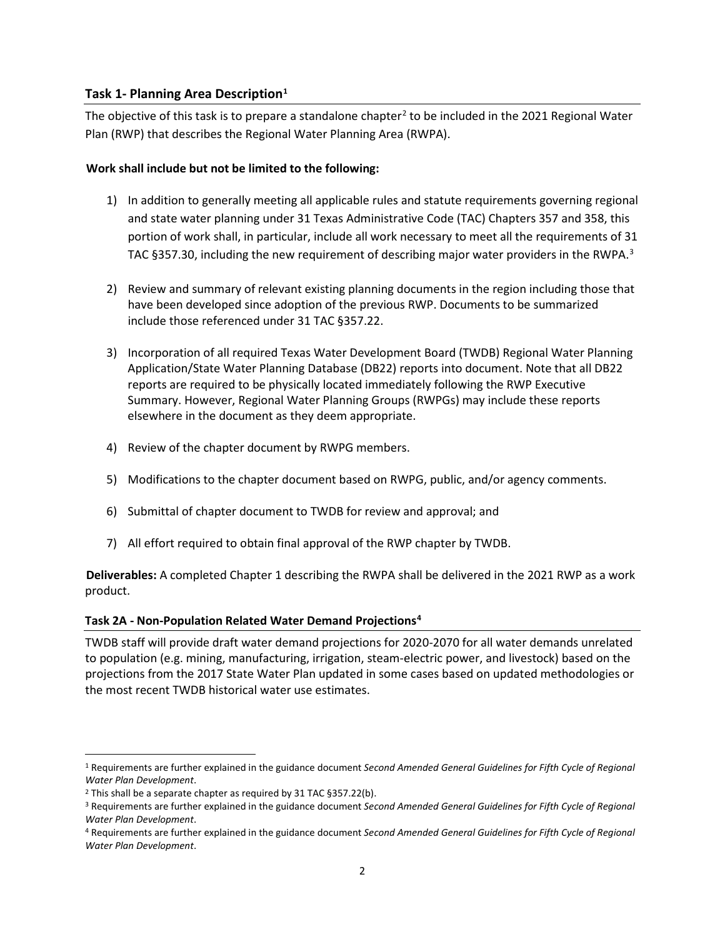#### <span id="page-1-0"></span>**Task 1- Planning Area Description**<sup>1</sup>

The objective of this task is to prepare a standalone chapter<sup>[2](#page-1-3)</sup> to be included in the 2021 Regional Water Plan (RWP) that describes the Regional Water Planning Area (RWPA).

#### **Work shall include but not be limited to the following:**

- 1) In addition to generally meeting all applicable rules and statute requirements governing regional and state water planning under 31 Texas Administrative Code (TAC) Chapters 357 and 358, this portion of work shall, in particular, include all work necessary to meet all the requirements of 31 TAC §[3](#page-1-4)57.30, including the new requirement of describing major water providers in the RWPA.<sup>3</sup>
- 2) Review and summary of relevant existing planning documents in the region including those that have been developed since adoption of the previous RWP. Documents to be summarized include those referenced under 31 TAC §357.22.
- 3) Incorporation of all required Texas Water Development Board (TWDB) Regional Water Planning Application/State Water Planning Database (DB22) reports into document. Note that all DB22 reports are required to be physically located immediately following the RWP Executive Summary. However, Regional Water Planning Groups (RWPGs) may include these reports elsewhere in the document as they deem appropriate.
- 4) Review of the chapter document by RWPG members.
- 5) Modifications to the chapter document based on RWPG, public, and/or agency comments.
- 6) Submittal of chapter document to TWDB for review and approval; and
- 7) All effort required to obtain final approval of the RWP chapter by TWDB.

**Deliverables:** A completed Chapter 1 describing the RWPA shall be delivered in the 2021 RWP as a work product.

#### <span id="page-1-1"></span>**Task 2A - Non-Population Related Water Demand Projections[4](#page-1-5)**

TWDB staff will provide draft water demand projections for 2020-2070 for all water demands unrelated to population (e.g. mining, manufacturing, irrigation, steam-electric power, and livestock) based on the projections from the 2017 State Water Plan updated in some cases based on updated methodologies or the most recent TWDB historical water use estimates.

<span id="page-1-2"></span><sup>1</sup> Requirements are further explained in the guidance document *Second Amended General Guidelines for Fifth Cycle of Regional Water Plan Development*.

<span id="page-1-3"></span><sup>2</sup> This shall be a separate chapter as required by 31 TAC §357.22(b).

<span id="page-1-4"></span><sup>3</sup> Requirements are further explained in the guidance document *Second Amended General Guidelines for Fifth Cycle of Regional Water Plan Development*.

<span id="page-1-5"></span><sup>4</sup> Requirements are further explained in the guidance document *Second Amended General Guidelines for Fifth Cycle of Regional Water Plan Development*.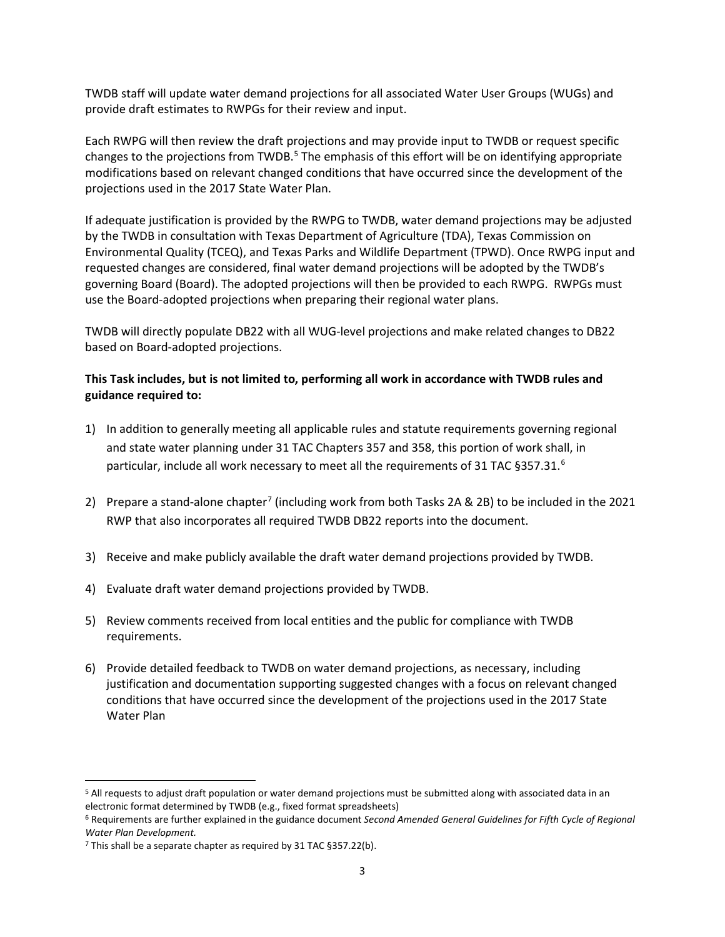TWDB staff will update water demand projections for all associated Water User Groups (WUGs) and provide draft estimates to RWPGs for their review and input.

Each RWPG will then review the draft projections and may provide input to TWDB or request specific changes to the projections from TWDB.<sup>[5](#page-2-0)</sup> The emphasis of this effort will be on identifying appropriate modifications based on relevant changed conditions that have occurred since the development of the projections used in the 2017 State Water Plan.

If adequate justification is provided by the RWPG to TWDB, water demand projections may be adjusted by the TWDB in consultation with Texas Department of Agriculture (TDA), Texas Commission on Environmental Quality (TCEQ), and Texas Parks and Wildlife Department (TPWD). Once RWPG input and requested changes are considered, final water demand projections will be adopted by the TWDB's governing Board (Board). The adopted projections will then be provided to each RWPG. RWPGs must use the Board-adopted projections when preparing their regional water plans.

TWDB will directly populate DB22 with all WUG-level projections and make related changes to DB22 based on Board-adopted projections.

### **This Task includes, but is not limited to, performing all work in accordance with TWDB rules and guidance required to:**

- 1) In addition to generally meeting all applicable rules and statute requirements governing regional and state water planning under 31 TAC Chapters 357 and 358, this portion of work shall, in particular, include all work necessary to meet all the requirements of 31 TAC §357.31.<sup>[6](#page-2-1)</sup>
- 2) Prepare a stand-alone chapter<sup>[7](#page-2-2)</sup> (including work from both Tasks 2A & 2B) to be included in the 2021 RWP that also incorporates all required TWDB DB22 reports into the document.
- 3) Receive and make publicly available the draft water demand projections provided by TWDB.
- 4) Evaluate draft water demand projections provided by TWDB.
- 5) Review comments received from local entities and the public for compliance with TWDB requirements.
- 6) Provide detailed feedback to TWDB on water demand projections, as necessary, including justification and documentation supporting suggested changes with a focus on relevant changed conditions that have occurred since the development of the projections used in the 2017 State Water Plan

<span id="page-2-0"></span> $\overline{a}$ <sup>5</sup> All requests to adjust draft population or water demand projections must be submitted along with associated data in an electronic format determined by TWDB (e.g., fixed format spreadsheets)

<span id="page-2-1"></span><sup>6</sup> Requirements are further explained in the guidance document *Second Amended General Guidelines for Fifth Cycle of Regional Water Plan Development.*

<span id="page-2-2"></span><sup>7</sup> This shall be a separate chapter as required by 31 TAC §357.22(b).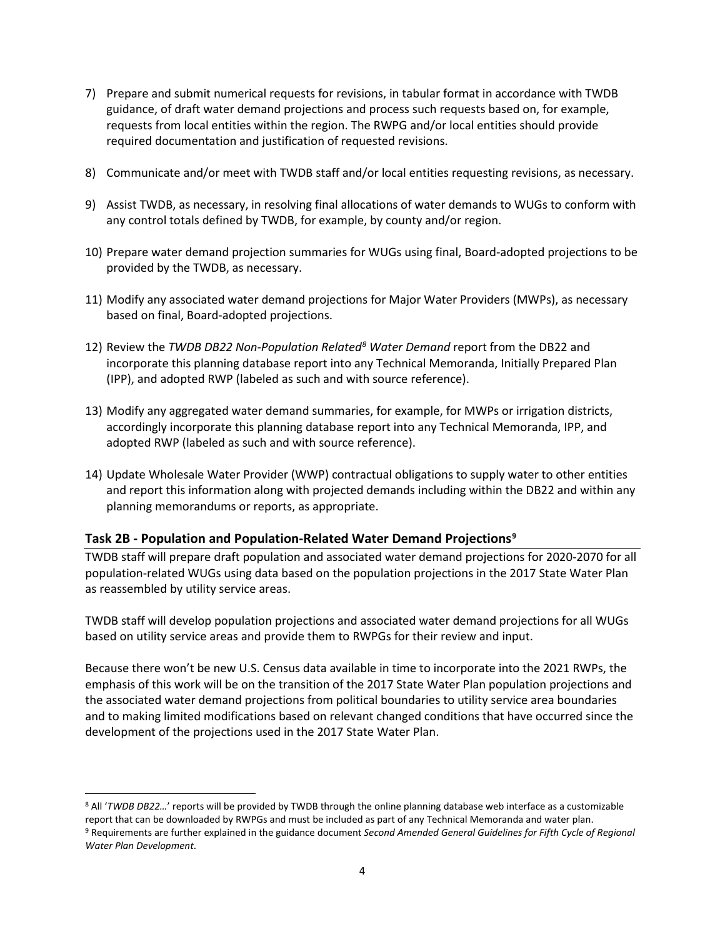- 7) Prepare and submit numerical requests for revisions, in tabular format in accordance with TWDB guidance, of draft water demand projections and process such requests based on, for example, requests from local entities within the region. The RWPG and/or local entities should provide required documentation and justification of requested revisions.
- 8) Communicate and/or meet with TWDB staff and/or local entities requesting revisions, as necessary.
- 9) Assist TWDB, as necessary, in resolving final allocations of water demands to WUGs to conform with any control totals defined by TWDB, for example, by county and/or region.
- 10) Prepare water demand projection summaries for WUGs using final, Board-adopted projections to be provided by the TWDB, as necessary.
- 11) Modify any associated water demand projections for Major Water Providers (MWPs), as necessary based on final, Board-adopted projections.
- 12) Review the *TWDB DB22 Non-Population Related[8](#page-3-1) Water Demand* report from the DB22 and incorporate this planning database report into any Technical Memoranda, Initially Prepared Plan (IPP), and adopted RWP (labeled as such and with source reference).
- 13) Modify any aggregated water demand summaries, for example, for MWPs or irrigation districts, accordingly incorporate this planning database report into any Technical Memoranda, IPP, and adopted RWP (labeled as such and with source reference).
- 14) Update Wholesale Water Provider (WWP) contractual obligations to supply water to other entities and report this information along with projected demands including within the DB22 and within any planning memorandums or reports, as appropriate.

# <span id="page-3-0"></span>**Task 2B - Population and Population-Related Water Demand Projections[9](#page-3-2)**

 $\overline{a}$ 

TWDB staff will prepare draft population and associated water demand projections for 2020-2070 for all population-related WUGs using data based on the population projections in the 2017 State Water Plan as reassembled by utility service areas.

TWDB staff will develop population projections and associated water demand projections for all WUGs based on utility service areas and provide them to RWPGs for their review and input.

Because there won't be new U.S. Census data available in time to incorporate into the 2021 RWPs, the emphasis of this work will be on the transition of the 2017 State Water Plan population projections and the associated water demand projections from political boundaries to utility service area boundaries and to making limited modifications based on relevant changed conditions that have occurred since the development of the projections used in the 2017 State Water Plan.

<span id="page-3-2"></span><span id="page-3-1"></span><sup>8</sup> All '*TWDB DB22…*' reports will be provided by TWDB through the online planning database web interface as a customizable report that can be downloaded by RWPGs and must be included as part of any Technical Memoranda and water plan. <sup>9</sup> Requirements are further explained in the guidance document *Second Amended General Guidelines for Fifth Cycle of Regional Water Plan Development*.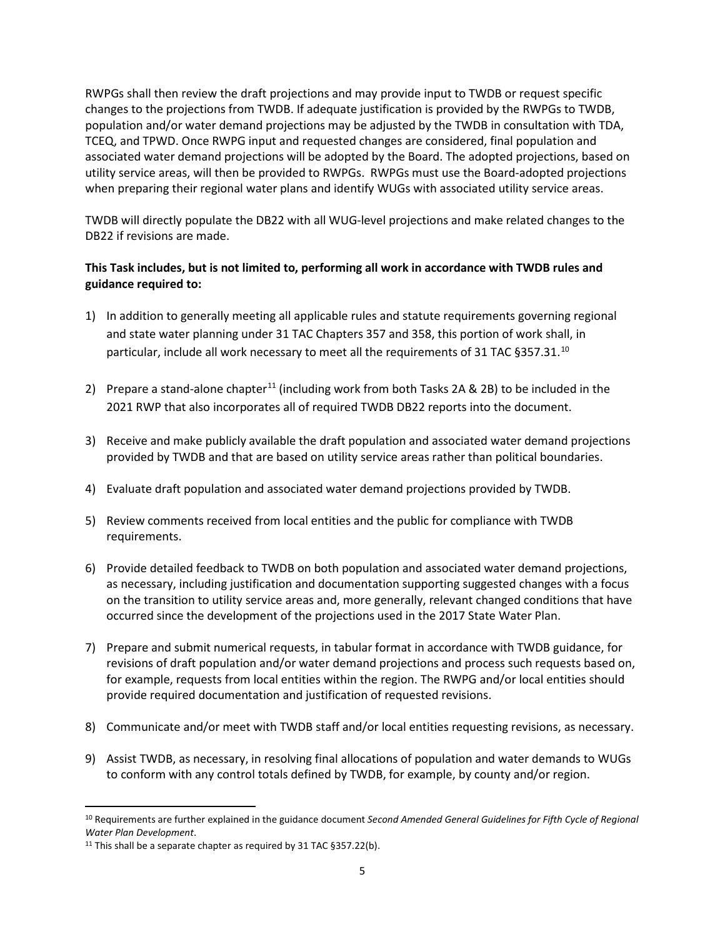RWPGs shall then review the draft projections and may provide input to TWDB or request specific changes to the projections from TWDB. If adequate justification is provided by the RWPGs to TWDB, population and/or water demand projections may be adjusted by the TWDB in consultation with TDA, TCEQ, and TPWD. Once RWPG input and requested changes are considered, final population and associated water demand projections will be adopted by the Board. The adopted projections, based on utility service areas, will then be provided to RWPGs. RWPGs must use the Board-adopted projections when preparing their regional water plans and identify WUGs with associated utility service areas.

TWDB will directly populate the DB22 with all WUG-level projections and make related changes to the DB22 if revisions are made.

# **This Task includes, but is not limited to, performing all work in accordance with TWDB rules and guidance required to:**

- 1) In addition to generally meeting all applicable rules and statute requirements governing regional and state water planning under 31 TAC Chapters 357 and 358, this portion of work shall, in particular, include all work necessary to meet all the requirements of 31 TAC §357.31.<sup>[10](#page-4-0)</sup>
- 2) Prepare a stand-alone chapter<sup>[11](#page-4-1)</sup> (including work from both Tasks 2A & 2B) to be included in the 2021 RWP that also incorporates all of required TWDB DB22 reports into the document.
- 3) Receive and make publicly available the draft population and associated water demand projections provided by TWDB and that are based on utility service areas rather than political boundaries.
- 4) Evaluate draft population and associated water demand projections provided by TWDB.
- 5) Review comments received from local entities and the public for compliance with TWDB requirements.
- 6) Provide detailed feedback to TWDB on both population and associated water demand projections, as necessary, including justification and documentation supporting suggested changes with a focus on the transition to utility service areas and, more generally, relevant changed conditions that have occurred since the development of the projections used in the 2017 State Water Plan.
- 7) Prepare and submit numerical requests, in tabular format in accordance with TWDB guidance, for revisions of draft population and/or water demand projections and process such requests based on, for example, requests from local entities within the region. The RWPG and/or local entities should provide required documentation and justification of requested revisions.
- 8) Communicate and/or meet with TWDB staff and/or local entities requesting revisions, as necessary.
- 9) Assist TWDB, as necessary, in resolving final allocations of population and water demands to WUGs to conform with any control totals defined by TWDB, for example, by county and/or region.

<span id="page-4-0"></span><sup>10</sup> Requirements are further explained in the guidance document *Second Amended General Guidelines for Fifth Cycle of Regional Water Plan Development*.

<span id="page-4-1"></span><sup>&</sup>lt;sup>11</sup> This shall be a separate chapter as required by 31 TAC §357.22(b).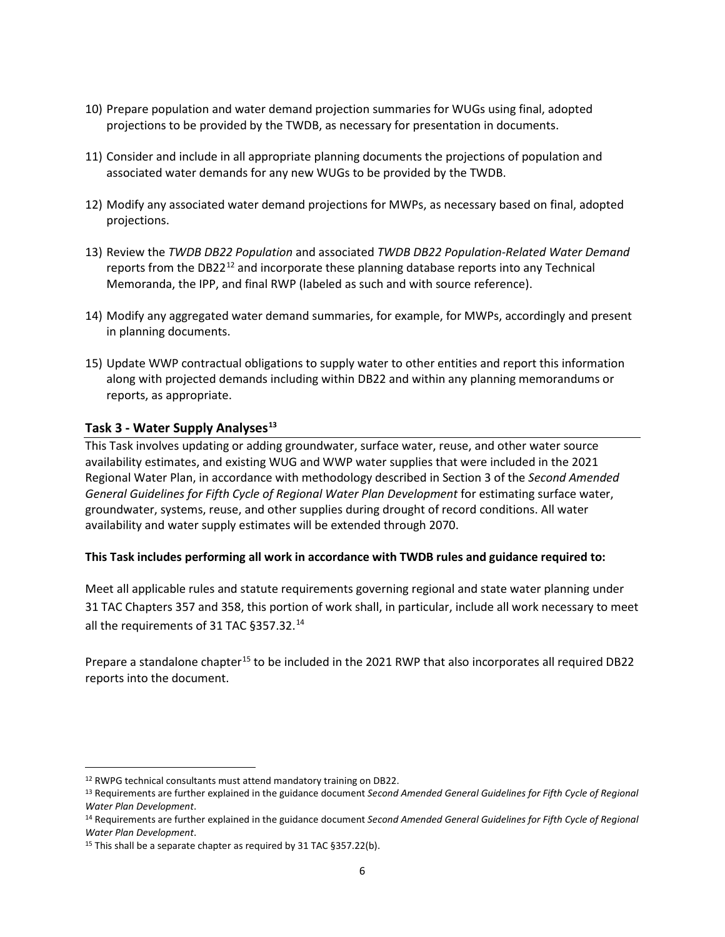- 10) Prepare population and water demand projection summaries for WUGs using final, adopted projections to be provided by the TWDB, as necessary for presentation in documents.
- 11) Consider and include in all appropriate planning documents the projections of population and associated water demands for any new WUGs to be provided by the TWDB.
- 12) Modify any associated water demand projections for MWPs, as necessary based on final, adopted projections.
- 13) Review the *TWDB DB22 Population* and associated *TWDB DB22 Population-Related Water Demand* reports from the DB22<sup>[12](#page-5-1)</sup> and incorporate these planning database reports into any Technical Memoranda, the IPP, and final RWP (labeled as such and with source reference).
- 14) Modify any aggregated water demand summaries, for example, for MWPs, accordingly and present in planning documents.
- 15) Update WWP contractual obligations to supply water to other entities and report this information along with projected demands including within DB22 and within any planning memorandums or reports, as appropriate.

#### <span id="page-5-0"></span>**Task 3 - Water Supply Analyses[13](#page-5-2)**

This Task involves updating or adding groundwater, surface water, reuse, and other water source availability estimates, and existing WUG and WWP water supplies that were included in the 2021 Regional Water Plan, in accordance with methodology described in Section 3 of the *Second Amended General Guidelines for Fifth Cycle of Regional Water Plan Development* for estimating surface water, groundwater, systems, reuse, and other supplies during drought of record conditions. All water availability and water supply estimates will be extended through 2070.

#### **This Task includes performing all work in accordance with TWDB rules and guidance required to:**

Meet all applicable rules and statute requirements governing regional and state water planning under 31 TAC Chapters 357 and 358, this portion of work shall, in particular, include all work necessary to meet all the requirements of 31 TAC §357.32.[14](#page-5-3)

Prepare a standalone chapter<sup>[15](#page-5-4)</sup> to be included in the 2021 RWP that also incorporates all required DB22 reports into the document.

<span id="page-5-1"></span><sup>&</sup>lt;sup>12</sup> RWPG technical consultants must attend mandatory training on DB22.

<span id="page-5-2"></span><sup>13</sup> Requirements are further explained in the guidance document *Second Amended General Guidelines for Fifth Cycle of Regional Water Plan Development*.

<span id="page-5-3"></span><sup>14</sup> Requirements are further explained in the guidance document *Second Amended General Guidelines for Fifth Cycle of Regional Water Plan Development*.

<span id="page-5-4"></span><sup>15</sup> This shall be a separate chapter as required by 31 TAC §357.22(b).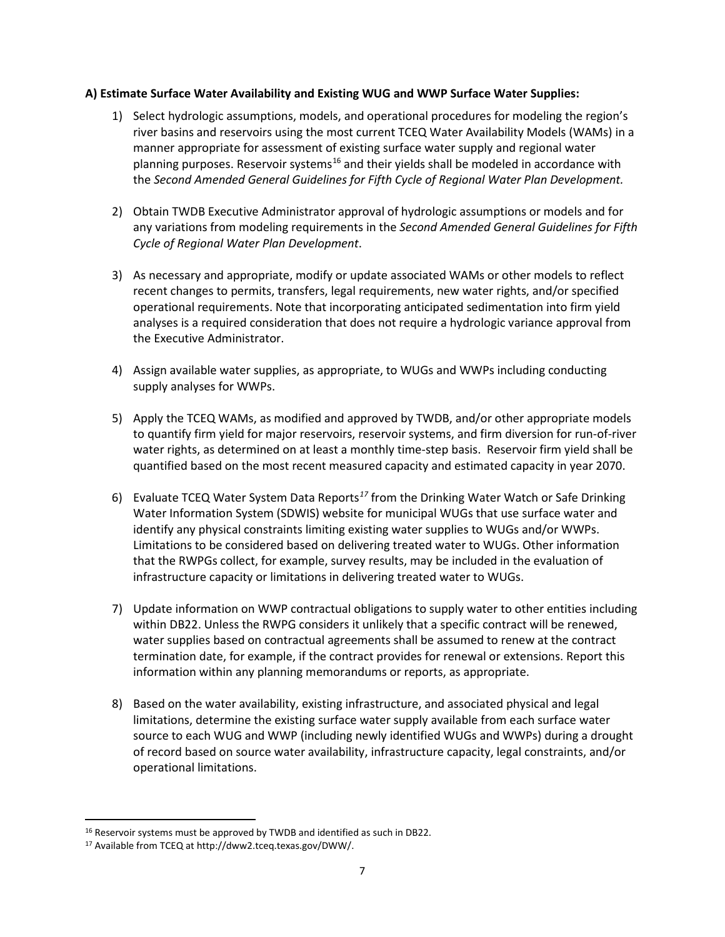#### **A) Estimate Surface Water Availability and Existing WUG and WWP Surface Water Supplies:**

- 1) Select hydrologic assumptions, models, and operational procedures for modeling the region's river basins and reservoirs using the most current TCEQ Water Availability Models (WAMs) in a manner appropriate for assessment of existing surface water supply and regional water planning purposes. Reservoir systems<sup>[16](#page-6-0)</sup> and their yields shall be modeled in accordance with the *Second Amended General Guidelines for Fifth Cycle of Regional Water Plan Development.*
- 2) Obtain TWDB Executive Administrator approval of hydrologic assumptions or models and for any variations from modeling requirements in the *Second Amended General Guidelines for Fifth Cycle of Regional Water Plan Development*.
- 3) As necessary and appropriate, modify or update associated WAMs or other models to reflect recent changes to permits, transfers, legal requirements, new water rights, and/or specified operational requirements. Note that incorporating anticipated sedimentation into firm yield analyses is a required consideration that does not require a hydrologic variance approval from the Executive Administrator.
- 4) Assign available water supplies, as appropriate, to WUGs and WWPs including conducting supply analyses for WWPs.
- 5) Apply the TCEQ WAMs, as modified and approved by TWDB, and/or other appropriate models to quantify firm yield for major reservoirs, reservoir systems, and firm diversion for run-of-river water rights, as determined on at least a monthly time-step basis. Reservoir firm yield shall be quantified based on the most recent measured capacity and estimated capacity in year 2070.
- 6) Evaluate TCEQ Water System Data Reports*[17](#page-6-1)* from the Drinking Water Watch or Safe Drinking Water Information System (SDWIS) website for municipal WUGs that use surface water and identify any physical constraints limiting existing water supplies to WUGs and/or WWPs. Limitations to be considered based on delivering treated water to WUGs. Other information that the RWPGs collect, for example, survey results, may be included in the evaluation of infrastructure capacity or limitations in delivering treated water to WUGs.
- 7) Update information on WWP contractual obligations to supply water to other entities including within DB22. Unless the RWPG considers it unlikely that a specific contract will be renewed, water supplies based on contractual agreements shall be assumed to renew at the contract termination date, for example, if the contract provides for renewal or extensions. Report this information within any planning memorandums or reports, as appropriate.
- 8) Based on the water availability, existing infrastructure, and associated physical and legal limitations, determine the existing surface water supply available from each surface water source to each WUG and WWP (including newly identified WUGs and WWPs) during a drought of record based on source water availability, infrastructure capacity, legal constraints, and/or operational limitations.

 $\overline{a}$ <sup>16</sup> Reservoir systems must be approved by TWDB and identified as such in DB22.

<span id="page-6-1"></span><span id="page-6-0"></span><sup>17</sup> Available from TCEQ at http://dww2.tceq.texas.gov/DWW/.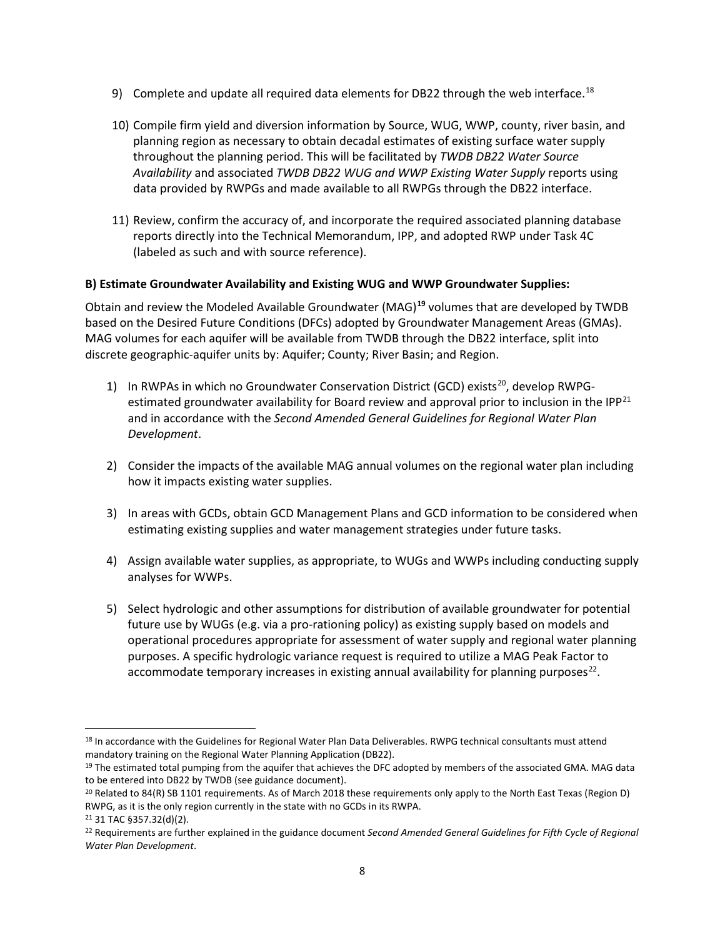- 9) Complete and update all required data elements for DB22 through the web interface.<sup>[18](#page-7-0)</sup>
- 10) Compile firm yield and diversion information by Source, WUG, WWP, county, river basin, and planning region as necessary to obtain decadal estimates of existing surface water supply throughout the planning period. This will be facilitated by *TWDB DB22 Water Source Availability* and associated *TWDB DB22 WUG and WWP Existing Water Supply* reports using data provided by RWPGs and made available to all RWPGs through the DB22 interface.
- 11) Review, confirm the accuracy of, and incorporate the required associated planning database reports directly into the Technical Memorandum, IPP, and adopted RWP under Task 4C (labeled as such and with source reference).

#### **B) Estimate Groundwater Availability and Existing WUG and WWP Groundwater Supplies:**

Obtain and review the Modeled Available Groundwater (MAG)**[19](#page-7-1)** volumes that are developed by TWDB based on the Desired Future Conditions (DFCs) adopted by Groundwater Management Areas (GMAs). MAG volumes for each aquifer will be available from TWDB through the DB22 interface, split into discrete geographic-aquifer units by: Aquifer; County; River Basin; and Region.

- 1) In RWPAs in which no Groundwater Conservation District (GCD) exists<sup>[20](#page-7-2)</sup>, develop RWPG-estimated groundwater availability for Board review and approval prior to inclusion in the IPP<sup>[21](#page-7-3)</sup> and in accordance with the *Second Amended General Guidelines for Regional Water Plan Development*.
- 2) Consider the impacts of the available MAG annual volumes on the regional water plan including how it impacts existing water supplies.
- 3) In areas with GCDs, obtain GCD Management Plans and GCD information to be considered when estimating existing supplies and water management strategies under future tasks.
- 4) Assign available water supplies, as appropriate, to WUGs and WWPs including conducting supply analyses for WWPs.
- 5) Select hydrologic and other assumptions for distribution of available groundwater for potential future use by WUGs (e.g. via a pro-rationing policy) as existing supply based on models and operational procedures appropriate for assessment of water supply and regional water planning purposes. A specific hydrologic variance request is required to utilize a MAG Peak Factor to accommodate temporary increases in existing annual availability for planning purposes $^{22}$  $^{22}$  $^{22}$ .

<span id="page-7-0"></span><sup>18</sup> In accordance with the Guidelines for Regional Water Plan Data Deliverables. RWPG technical consultants must attend mandatory training on the Regional Water Planning Application (DB22).

<span id="page-7-1"></span><sup>&</sup>lt;sup>19</sup> The estimated total pumping from the aquifer that achieves the DFC adopted by members of the associated GMA. MAG data to be entered into DB22 by TWDB (see guidance document).

<span id="page-7-2"></span><sup>20</sup> Related to 84(R) SB 1101 requirements. As of March 2018 these requirements only apply to the North East Texas (Region D) RWPG, as it is the only region currently in the state with no GCDs in its RWPA.

<span id="page-7-3"></span><sup>21</sup> 31 TAC §357.32(d)(2).

<span id="page-7-4"></span><sup>22</sup> Requirements are further explained in the guidance document *Second Amended General Guidelines for Fifth Cycle of Regional Water Plan Development*.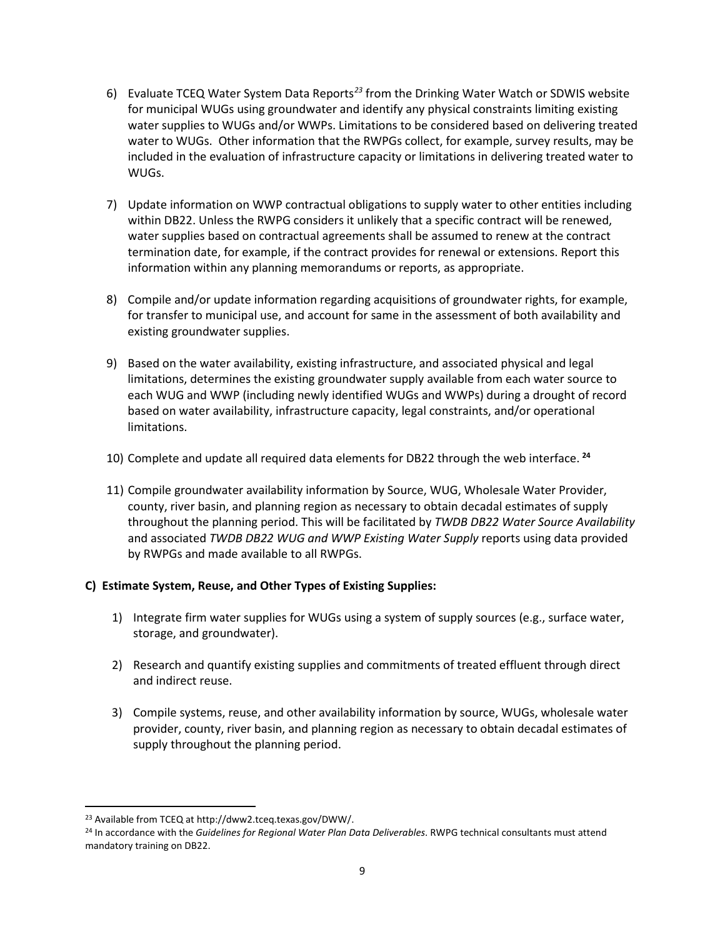- 6) Evaluate TCEQ Water System Data Reports*[23](#page-8-0)* from the Drinking Water Watch or SDWIS website for municipal WUGs using groundwater and identify any physical constraints limiting existing water supplies to WUGs and/or WWPs. Limitations to be considered based on delivering treated water to WUGs. Other information that the RWPGs collect, for example, survey results, may be included in the evaluation of infrastructure capacity or limitations in delivering treated water to WUGs.
- 7) Update information on WWP contractual obligations to supply water to other entities including within DB22. Unless the RWPG considers it unlikely that a specific contract will be renewed, water supplies based on contractual agreements shall be assumed to renew at the contract termination date, for example, if the contract provides for renewal or extensions. Report this information within any planning memorandums or reports, as appropriate.
- 8) Compile and/or update information regarding acquisitions of groundwater rights, for example, for transfer to municipal use, and account for same in the assessment of both availability and existing groundwater supplies.
- 9) Based on the water availability, existing infrastructure, and associated physical and legal limitations, determines the existing groundwater supply available from each water source to each WUG and WWP (including newly identified WUGs and WWPs) during a drought of record based on water availability, infrastructure capacity, legal constraints, and/or operational limitations.
- 10) Complete and update all required data elements for DB22 through the web interface. **[24](#page-8-1)**
- 11) Compile groundwater availability information by Source, WUG, Wholesale Water Provider, county, river basin, and planning region as necessary to obtain decadal estimates of supply throughout the planning period. This will be facilitated by *TWDB DB22 Water Source Availability*  and associated *TWDB DB22 WUG and WWP Existing Water Supply* reports using data provided by RWPGs and made available to all RWPGs.

# **C) Estimate System, Reuse, and Other Types of Existing Supplies:**

- 1) Integrate firm water supplies for WUGs using a system of supply sources (e.g., surface water, storage, and groundwater).
- 2) Research and quantify existing supplies and commitments of treated effluent through direct and indirect reuse.
- 3) Compile systems, reuse, and other availability information by source, WUGs, wholesale water provider, county, river basin, and planning region as necessary to obtain decadal estimates of supply throughout the planning period.

<span id="page-8-0"></span> $\overline{a}$ <sup>23</sup> Available from TCEQ at http://dww2.tceq.texas.gov/DWW/.

<span id="page-8-1"></span><sup>24</sup> In accordance with the *Guidelines for Regional Water Plan Data Deliverables*. RWPG technical consultants must attend mandatory training on DB22.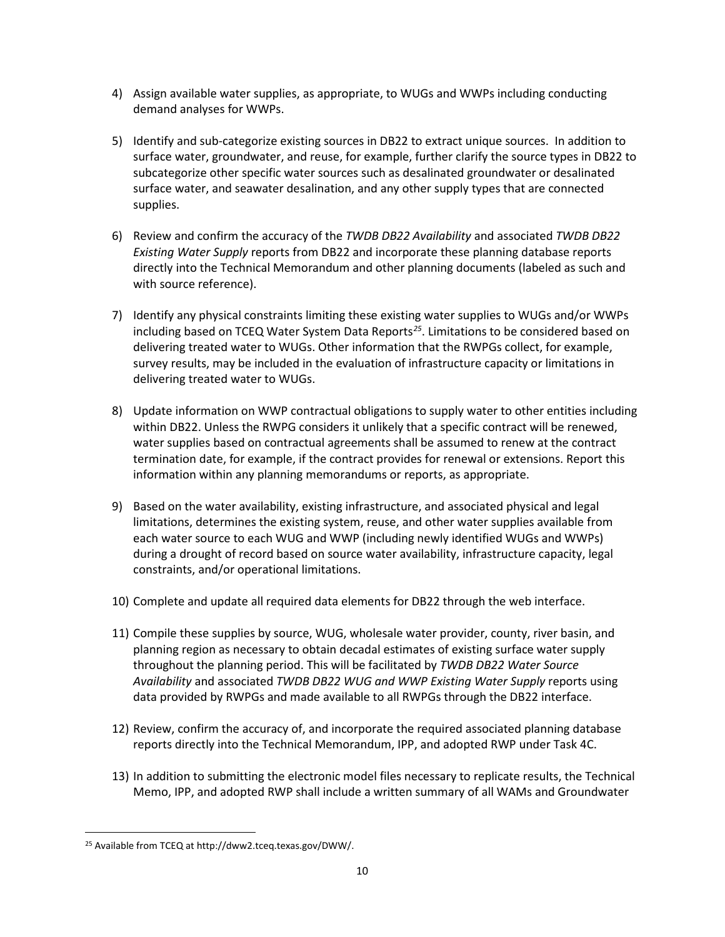- 4) Assign available water supplies, as appropriate, to WUGs and WWPs including conducting demand analyses for WWPs.
- 5) Identify and sub-categorize existing sources in DB22 to extract unique sources. In addition to surface water, groundwater, and reuse, for example, further clarify the source types in DB22 to subcategorize other specific water sources such as desalinated groundwater or desalinated surface water, and seawater desalination, and any other supply types that are connected supplies.
- 6) Review and confirm the accuracy of the *TWDB DB22 Availability* and associated *TWDB DB22 Existing Water Supply* reports from DB22 and incorporate these planning database reports directly into the Technical Memorandum and other planning documents (labeled as such and with source reference).
- 7) Identify any physical constraints limiting these existing water supplies to WUGs and/or WWPs including based on TCEQ Water System Data Reports*[25](#page-9-0)*. Limitations to be considered based on delivering treated water to WUGs. Other information that the RWPGs collect, for example, survey results, may be included in the evaluation of infrastructure capacity or limitations in delivering treated water to WUGs.
- 8) Update information on WWP contractual obligations to supply water to other entities including within DB22. Unless the RWPG considers it unlikely that a specific contract will be renewed, water supplies based on contractual agreements shall be assumed to renew at the contract termination date, for example, if the contract provides for renewal or extensions. Report this information within any planning memorandums or reports, as appropriate.
- 9) Based on the water availability, existing infrastructure, and associated physical and legal limitations, determines the existing system, reuse, and other water supplies available from each water source to each WUG and WWP (including newly identified WUGs and WWPs) during a drought of record based on source water availability, infrastructure capacity, legal constraints, and/or operational limitations.
- 10) Complete and update all required data elements for DB22 through the web interface.
- 11) Compile these supplies by source, WUG, wholesale water provider, county, river basin, and planning region as necessary to obtain decadal estimates of existing surface water supply throughout the planning period. This will be facilitated by *TWDB DB22 Water Source Availability* and associated *TWDB DB22 WUG and WWP Existing Water Supply* reports using data provided by RWPGs and made available to all RWPGs through the DB22 interface.
- 12) Review, confirm the accuracy of, and incorporate the required associated planning database reports directly into the Technical Memorandum, IPP, and adopted RWP under Task 4C.
- 13) In addition to submitting the electronic model files necessary to replicate results, the Technical Memo, IPP, and adopted RWP shall include a written summary of all WAMs and Groundwater

<span id="page-9-0"></span> $\overline{a}$ <sup>25</sup> Available from TCEQ at http://dww2.tceq.texas.gov/DWW/.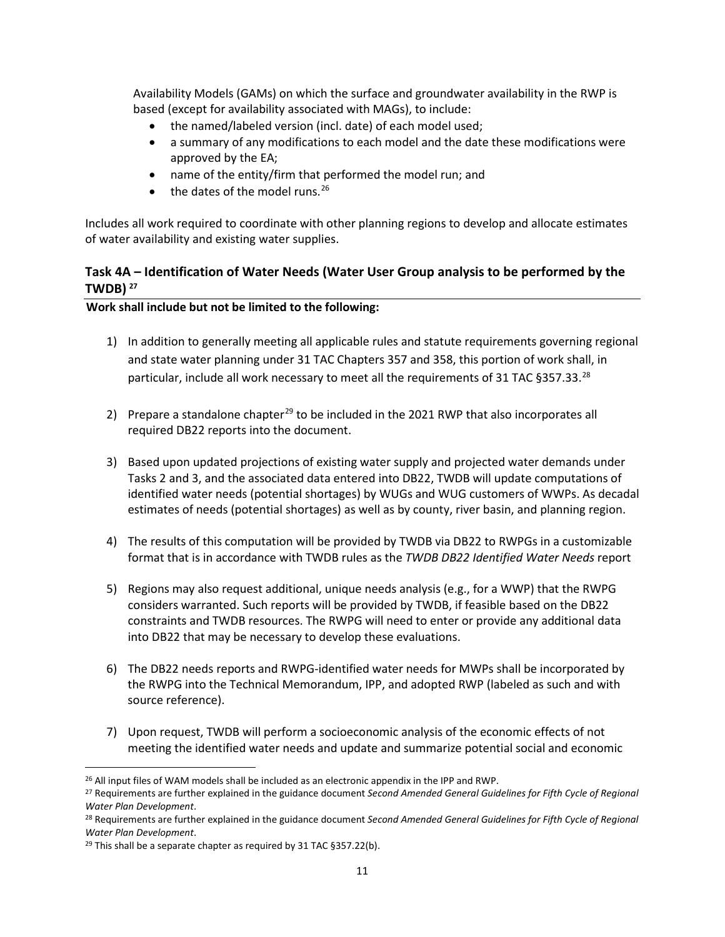Availability Models (GAMs) on which the surface and groundwater availability in the RWP is based (except for availability associated with MAGs), to include:

- the named/labeled version (incl. date) of each model used;
- a summary of any modifications to each model and the date these modifications were approved by the EA;
- name of the entity/firm that performed the model run; and
- $\bullet$  the dates of the model runs.<sup>[26](#page-10-1)</sup>

Includes all work required to coordinate with other planning regions to develop and allocate estimates of water availability and existing water supplies.

# <span id="page-10-0"></span>**Task 4A – Identification of Water Needs (Water User Group analysis to be performed by the TWDB) [27](#page-10-2)**

**Work shall include but not be limited to the following:**

- 1) In addition to generally meeting all applicable rules and statute requirements governing regional and state water planning under 31 TAC Chapters 357 and 358, this portion of work shall, in particular, include all work necessary to meet all the requirements of 31 TAC §357.33.<sup>[28](#page-10-3)</sup>
- 2) Prepare a standalone chapter<sup>[29](#page-10-4)</sup> to be included in the 2021 RWP that also incorporates all required DB22 reports into the document.
- 3) Based upon updated projections of existing water supply and projected water demands under Tasks 2 and 3, and the associated data entered into DB22, TWDB will update computations of identified water needs (potential shortages) by WUGs and WUG customers of WWPs. As decadal estimates of needs (potential shortages) as well as by county, river basin, and planning region.
- 4) The results of this computation will be provided by TWDB via DB22 to RWPGs in a customizable format that is in accordance with TWDB rules as the *TWDB DB22 Identified Water Needs* report
- 5) Regions may also request additional, unique needs analysis (e.g., for a WWP) that the RWPG considers warranted. Such reports will be provided by TWDB, if feasible based on the DB22 constraints and TWDB resources. The RWPG will need to enter or provide any additional data into DB22 that may be necessary to develop these evaluations.
- 6) The DB22 needs reports and RWPG-identified water needs for MWPs shall be incorporated by the RWPG into the Technical Memorandum, IPP, and adopted RWP (labeled as such and with source reference).
- 7) Upon request, TWDB will perform a socioeconomic analysis of the economic effects of not meeting the identified water needs and update and summarize potential social and economic

<span id="page-10-1"></span><sup>&</sup>lt;sup>26</sup> All input files of WAM models shall be included as an electronic appendix in the IPP and RWP.

<span id="page-10-2"></span><sup>27</sup> Requirements are further explained in the guidance document *Second Amended General Guidelines for Fifth Cycle of Regional Water Plan Development*.

<span id="page-10-3"></span><sup>28</sup> Requirements are further explained in the guidance document *Second Amended General Guidelines for Fifth Cycle of Regional Water Plan Development*.

<span id="page-10-4"></span><sup>&</sup>lt;sup>29</sup> This shall be a separate chapter as required by 31 TAC §357.22(b).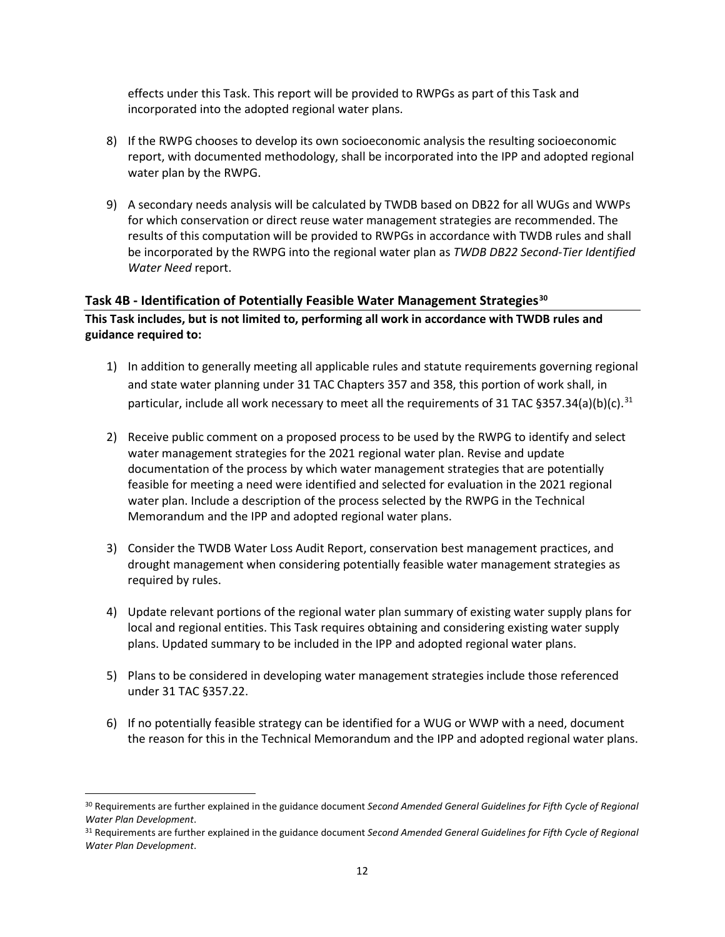effects under this Task. This report will be provided to RWPGs as part of this Task and incorporated into the adopted regional water plans.

- 8) If the RWPG chooses to develop its own socioeconomic analysis the resulting socioeconomic report, with documented methodology, shall be incorporated into the IPP and adopted regional water plan by the RWPG.
- 9) A secondary needs analysis will be calculated by TWDB based on DB22 for all WUGs and WWPs for which conservation or direct reuse water management strategies are recommended. The results of this computation will be provided to RWPGs in accordance with TWDB rules and shall be incorporated by the RWPG into the regional water plan as *TWDB DB22 Second-Tier Identified Water Need* report.

#### <span id="page-11-0"></span>**Task 4B - Identification of Potentially Feasible Water Management Strategies[30](#page-11-1)**

**This Task includes, but is not limited to, performing all work in accordance with TWDB rules and guidance required to:**

- 1) In addition to generally meeting all applicable rules and statute requirements governing regional and state water planning under 31 TAC Chapters 357 and 358, this portion of work shall, in particular, include all work necessary to meet all the requirements of [31](#page-11-2) TAC  $\S 357.34(a)(b)(c).$ <sup>31</sup>
- 2) Receive public comment on a proposed process to be used by the RWPG to identify and select water management strategies for the 2021 regional water plan. Revise and update documentation of the process by which water management strategies that are potentially feasible for meeting a need were identified and selected for evaluation in the 2021 regional water plan. Include a description of the process selected by the RWPG in the Technical Memorandum and the IPP and adopted regional water plans.
- 3) Consider the TWDB Water Loss Audit Report, conservation best management practices, and drought management when considering potentially feasible water management strategies as required by rules.
- 4) Update relevant portions of the regional water plan summary of existing water supply plans for local and regional entities. This Task requires obtaining and considering existing water supply plans. Updated summary to be included in the IPP and adopted regional water plans.
- 5) Plans to be considered in developing water management strategies include those referenced under 31 TAC §357.22.
- 6) If no potentially feasible strategy can be identified for a WUG or WWP with a need, document the reason for this in the Technical Memorandum and the IPP and adopted regional water plans.

<span id="page-11-1"></span><sup>30</sup> Requirements are further explained in the guidance document *Second Amended General Guidelines for Fifth Cycle of Regional Water Plan Development*.

<span id="page-11-2"></span><sup>31</sup> Requirements are further explained in the guidance document *Second Amended General Guidelines for Fifth Cycle of Regional Water Plan Development*.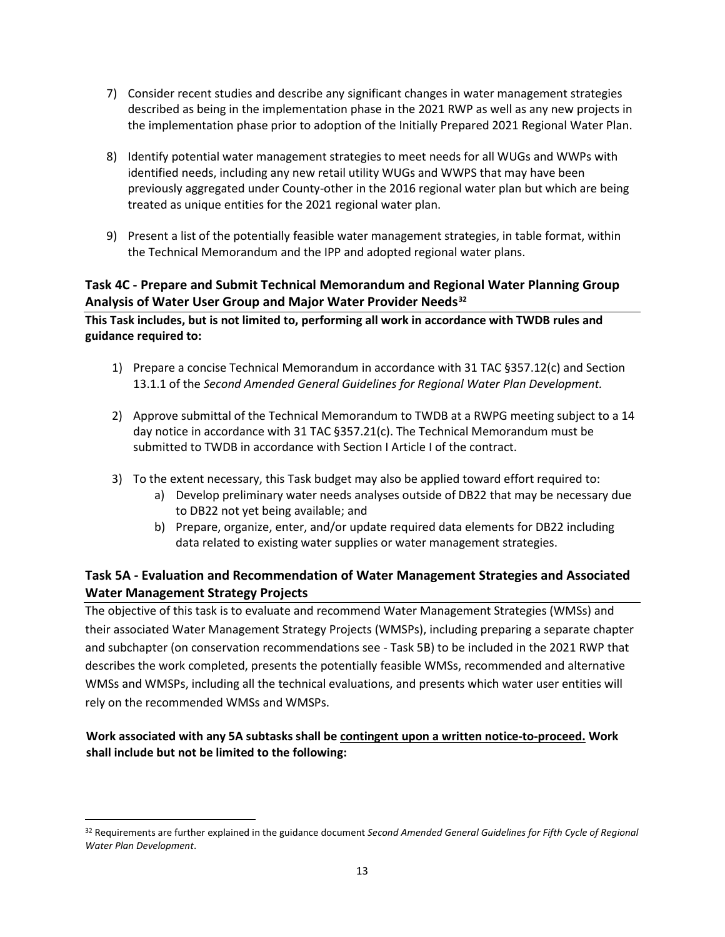- 7) Consider recent studies and describe any significant changes in water management strategies described as being in the implementation phase in the 2021 RWP as well as any new projects in the implementation phase prior to adoption of the Initially Prepared 2021 Regional Water Plan.
- 8) Identify potential water management strategies to meet needs for all WUGs and WWPs with identified needs, including any new retail utility WUGs and WWPS that may have been previously aggregated under County-other in the 2016 regional water plan but which are being treated as unique entities for the 2021 regional water plan.
- 9) Present a list of the potentially feasible water management strategies, in table format, within the Technical Memorandum and the IPP and adopted regional water plans.

# <span id="page-12-0"></span>**Task 4C - Prepare and Submit Technical Memorandum and Regional Water Planning Group Analysis of Water User Group and Major Water Provider Needs[32](#page-12-2)**

**This Task includes, but is not limited to, performing all work in accordance with TWDB rules and guidance required to:**

- 1) Prepare a concise Technical Memorandum in accordance with 31 TAC §357.12(c) and Section 13.1.1 of the *Second Amended General Guidelines for Regional Water Plan Development.*
- 2) Approve submittal of the Technical Memorandum to TWDB at a RWPG meeting subject to a 14 day notice in accordance with 31 TAC §357.21(c). The Technical Memorandum must be submitted to TWDB in accordance with Section I Article I of the contract.
- 3) To the extent necessary, this Task budget may also be applied toward effort required to:
	- a) Develop preliminary water needs analyses outside of DB22 that may be necessary due to DB22 not yet being available; and
	- b) Prepare, organize, enter, and/or update required data elements for DB22 including data related to existing water supplies or water management strategies.

# <span id="page-12-1"></span>**Task 5A - Evaluation and Recommendation of Water Management Strategies and Associated Water Management Strategy Projects**

The objective of this task is to evaluate and recommend Water Management Strategies (WMSs) and their associated Water Management Strategy Projects (WMSPs), including preparing a separate chapter and subchapter (on conservation recommendations see - Task 5B) to be included in the 2021 RWP that describes the work completed, presents the potentially feasible WMSs, recommended and alternative WMSs and WMSPs, including all the technical evaluations, and presents which water user entities will rely on the recommended WMSs and WMSPs.

# **Work associated with any 5A subtasks shall be contingent upon a written notice-to-proceed. Work shall include but not be limited to the following:**

<span id="page-12-2"></span> $\overline{a}$ <sup>32</sup> Requirements are further explained in the guidance document *Second Amended General Guidelines for Fifth Cycle of Regional Water Plan Development*.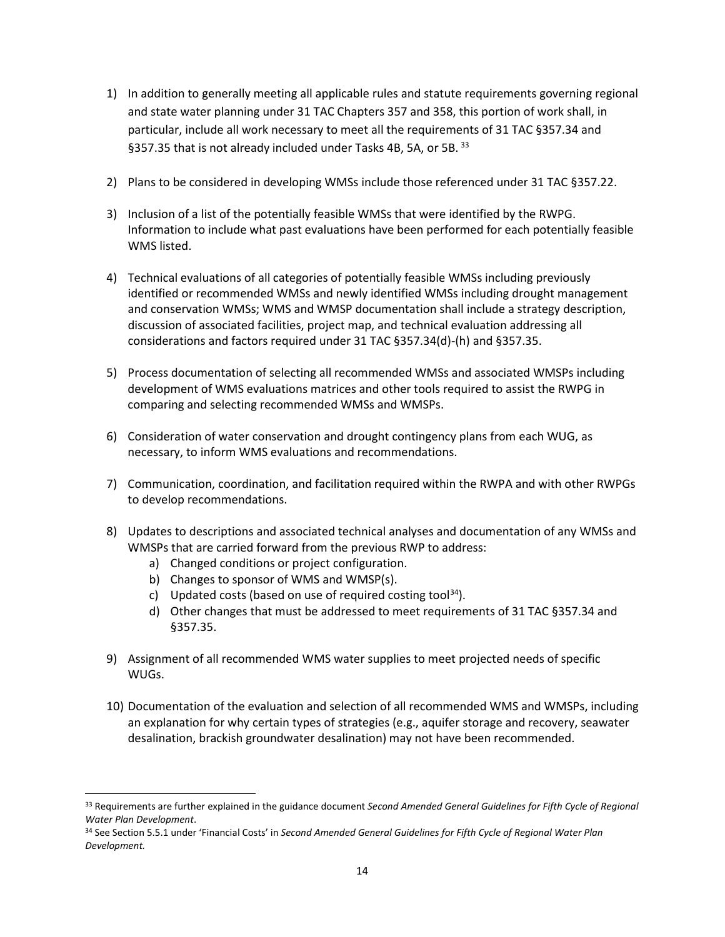- 1) In addition to generally meeting all applicable rules and statute requirements governing regional and state water planning under 31 TAC Chapters 357 and 358, this portion of work shall, in particular, include all work necessary to meet all the requirements of 31 TAC §357.34 and §357.35 that is not already included under Tasks 4B, 5A, or 5B. [33](#page-13-0)
- 2) Plans to be considered in developing WMSs include those referenced under 31 TAC §357.22.
- 3) Inclusion of a list of the potentially feasible WMSs that were identified by the RWPG. Information to include what past evaluations have been performed for each potentially feasible WMS listed.
- 4) Technical evaluations of all categories of potentially feasible WMSs including previously identified or recommended WMSs and newly identified WMSs including drought management and conservation WMSs; WMS and WMSP documentation shall include a strategy description, discussion of associated facilities, project map, and technical evaluation addressing all considerations and factors required under 31 TAC §357.34(d)-(h) and §357.35.
- 5) Process documentation of selecting all recommended WMSs and associated WMSPs including development of WMS evaluations matrices and other tools required to assist the RWPG in comparing and selecting recommended WMSs and WMSPs.
- 6) Consideration of water conservation and drought contingency plans from each WUG, as necessary, to inform WMS evaluations and recommendations.
- 7) Communication, coordination, and facilitation required within the RWPA and with other RWPGs to develop recommendations.
- 8) Updates to descriptions and associated technical analyses and documentation of any WMSs and WMSPs that are carried forward from the previous RWP to address:
	- a) Changed conditions or project configuration.
	- b) Changes to sponsor of WMS and WMSP(s).

- c) Updated costs (based on use of required costing tool<sup>[34](#page-13-1)</sup>).
- d) Other changes that must be addressed to meet requirements of 31 TAC §357.34 and §357.35.
- 9) Assignment of all recommended WMS water supplies to meet projected needs of specific WUGs.
- 10) Documentation of the evaluation and selection of all recommended WMS and WMSPs, including an explanation for why certain types of strategies (e.g., aquifer storage and recovery, seawater desalination, brackish groundwater desalination) may not have been recommended.

<span id="page-13-0"></span><sup>33</sup> Requirements are further explained in the guidance document *Second Amended General Guidelines for Fifth Cycle of Regional Water Plan Development*.

<span id="page-13-1"></span><sup>34</sup> See Section 5.5.1 under 'Financial Costs' in *Second Amended General Guidelines for Fifth Cycle of Regional Water Plan Development.*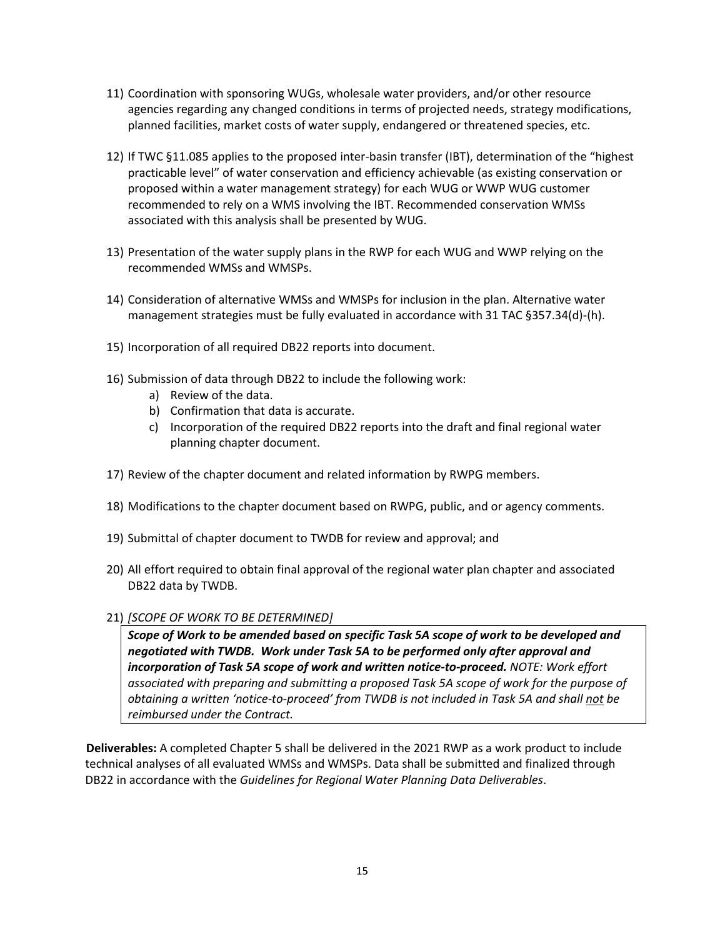- 11) Coordination with sponsoring WUGs, wholesale water providers, and/or other resource agencies regarding any changed conditions in terms of projected needs, strategy modifications, planned facilities, market costs of water supply, endangered or threatened species, etc.
- 12) If TWC §11.085 applies to the proposed inter-basin transfer (IBT), determination of the "highest practicable level" of water conservation and efficiency achievable (as existing conservation or proposed within a water management strategy) for each WUG or WWP WUG customer recommended to rely on a WMS involving the IBT. Recommended conservation WMSs associated with this analysis shall be presented by WUG.
- 13) Presentation of the water supply plans in the RWP for each WUG and WWP relying on the recommended WMSs and WMSPs.
- 14) Consideration of alternative WMSs and WMSPs for inclusion in the plan. Alternative water management strategies must be fully evaluated in accordance with 31 TAC §357.34(d)-(h).
- 15) Incorporation of all required DB22 reports into document.
- 16) Submission of data through DB22 to include the following work:
	- a) Review of the data.
	- b) Confirmation that data is accurate.
	- c) Incorporation of the required DB22 reports into the draft and final regional water planning chapter document.
- 17) Review of the chapter document and related information by RWPG members.
- 18) Modifications to the chapter document based on RWPG, public, and or agency comments.
- 19) Submittal of chapter document to TWDB for review and approval; and
- 20) All effort required to obtain final approval of the regional water plan chapter and associated DB22 data by TWDB.
- 21) *[SCOPE OF WORK TO BE DETERMINED]*

*Scope of Work to be amended based on specific Task 5A scope of work to be developed and negotiated with TWDB. Work under Task 5A to be performed only after approval and incorporation of Task 5A scope of work and written notice-to-proceed. NOTE: Work effort associated with preparing and submitting a proposed Task 5A scope of work for the purpose of obtaining a written 'notice-to-proceed' from TWDB is not included in Task 5A and shall not be reimbursed under the Contract.* 

**Deliverables:** A completed Chapter 5 shall be delivered in the 2021 RWP as a work product to include technical analyses of all evaluated WMSs and WMSPs. Data shall be submitted and finalized through DB22 in accordance with the *Guidelines for Regional Water Planning Data Deliverables*.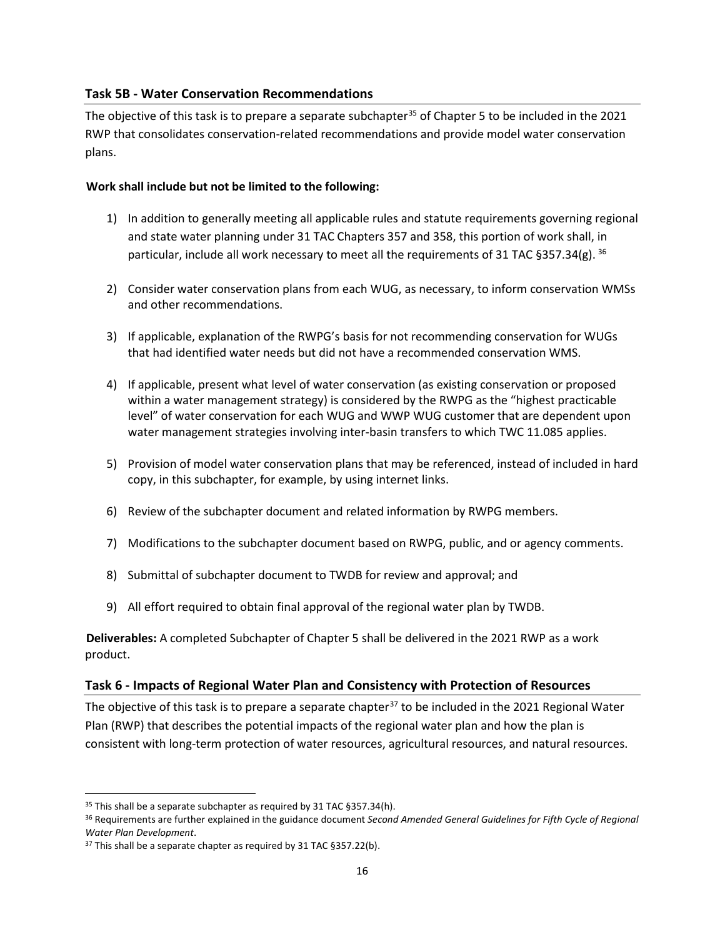### <span id="page-15-0"></span>**Task 5B - Water Conservation Recommendations**

The objective of this task is to prepare a separate subchapter<sup>[35](#page-15-2)</sup> of Chapter 5 to be included in the 2021 RWP that consolidates conservation-related recommendations and provide model water conservation plans.

### **Work shall include but not be limited to the following:**

- 1) In addition to generally meeting all applicable rules and statute requirements governing regional and state water planning under 31 TAC Chapters 357 and 358, this portion of work shall, in particular, include all work necessary to meet all the requirements of 31 TAC §357.34(g). <sup>[36](#page-15-3)</sup>
- 2) Consider water conservation plans from each WUG, as necessary, to inform conservation WMSs and other recommendations.
- 3) If applicable, explanation of the RWPG's basis for not recommending conservation for WUGs that had identified water needs but did not have a recommended conservation WMS.
- 4) If applicable, present what level of water conservation (as existing conservation or proposed within a water management strategy) is considered by the RWPG as the "highest practicable level" of water conservation for each WUG and WWP WUG customer that are dependent upon water management strategies involving inter-basin transfers to which TWC 11.085 applies.
- 5) Provision of model water conservation plans that may be referenced, instead of included in hard copy, in this subchapter, for example, by using internet links.
- 6) Review of the subchapter document and related information by RWPG members.
- 7) Modifications to the subchapter document based on RWPG, public, and or agency comments.
- 8) Submittal of subchapter document to TWDB for review and approval; and
- 9) All effort required to obtain final approval of the regional water plan by TWDB.

**Deliverables:** A completed Subchapter of Chapter 5 shall be delivered in the 2021 RWP as a work product.

# <span id="page-15-1"></span>**Task 6 - Impacts of Regional Water Plan and Consistency with Protection of Resources**

The objective of this task is to prepare a separate chapter<sup>[37](#page-15-4)</sup> to be included in the 2021 Regional Water Plan (RWP) that describes the potential impacts of the regional water plan and how the plan is consistent with long-term protection of water resources, agricultural resources, and natural resources.

<span id="page-15-2"></span> $\overline{a}$ <sup>35</sup> This shall be a separate subchapter as required by 31 TAC §357.34(h).

<span id="page-15-3"></span><sup>36</sup> Requirements are further explained in the guidance document *Second Amended General Guidelines for Fifth Cycle of Regional Water Plan Development*.

<span id="page-15-4"></span><sup>&</sup>lt;sup>37</sup> This shall be a separate chapter as required by 31 TAC §357.22(b).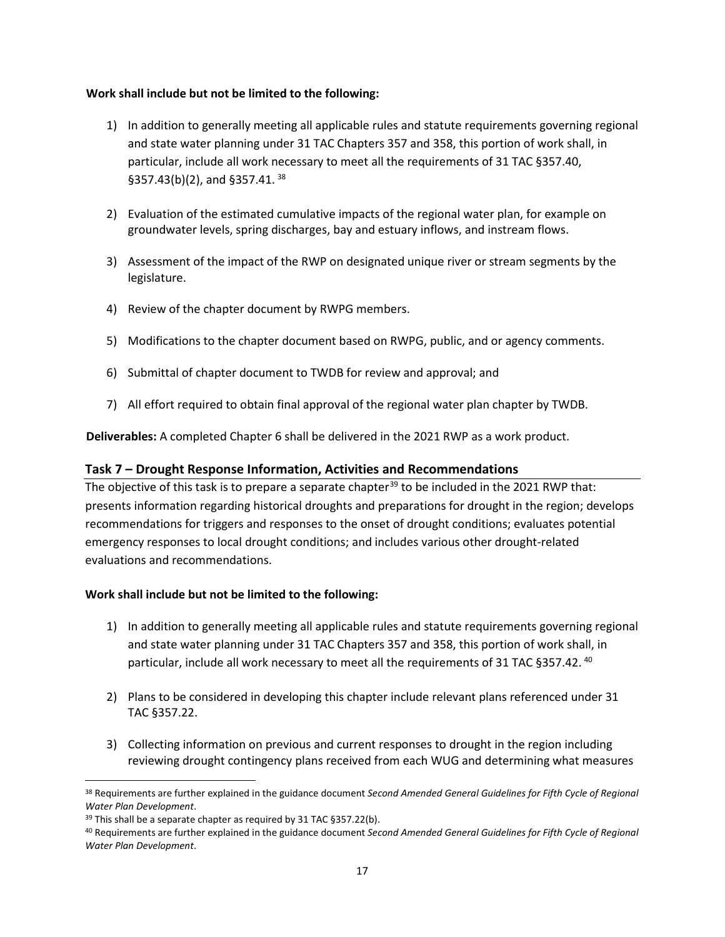#### **Work shall include but not be limited to the following:**

- 1) In addition to generally meeting all applicable rules and statute requirements governing regional and state water planning under 31 TAC Chapters 357 and 358, this portion of work shall, in particular, include all work necessary to meet all the requirements of 31 TAC §357.40, §357.43(b)(2), and §357.41. [38](#page-16-1)
- 2) Evaluation of the estimated cumulative impacts of the regional water plan, for example on groundwater levels, spring discharges, bay and estuary inflows, and instream flows.
- 3) Assessment of the impact of the RWP on designated unique river or stream segments by the legislature.
- 4) Review of the chapter document by RWPG members.
- 5) Modifications to the chapter document based on RWPG, public, and or agency comments.
- 6) Submittal of chapter document to TWDB for review and approval; and
- 7) All effort required to obtain final approval of the regional water plan chapter by TWDB.

**Deliverables:** A completed Chapter 6 shall be delivered in the 2021 RWP as a work product.

#### <span id="page-16-0"></span>**Task 7 – Drought Response Information, Activities and Recommendations**

The objective of this task is to prepare a separate chapter<sup>[39](#page-16-2)</sup> to be included in the 2021 RWP that: presents information regarding historical droughts and preparations for drought in the region; develops recommendations for triggers and responses to the onset of drought conditions; evaluates potential emergency responses to local drought conditions; and includes various other drought-related evaluations and recommendations.

#### **Work shall include but not be limited to the following:**

- 1) In addition to generally meeting all applicable rules and statute requirements governing regional and state water planning under 31 TAC Chapters 357 and 358, this portion of work shall, in particular, include all work necessary to meet all the requirements of 31 TAC §357.42.<sup>[40](#page-16-3)</sup>
- 2) Plans to be considered in developing this chapter include relevant plans referenced under 31 TAC §357.22.
- 3) Collecting information on previous and current responses to drought in the region including reviewing drought contingency plans received from each WUG and determining what measures

<span id="page-16-1"></span><sup>38</sup> Requirements are further explained in the guidance document *Second Amended General Guidelines for Fifth Cycle of Regional Water Plan Development*.

<span id="page-16-2"></span><sup>&</sup>lt;sup>39</sup> This shall be a separate chapter as required by 31 TAC §357.22(b).

<span id="page-16-3"></span><sup>40</sup> Requirements are further explained in the guidance document *Second Amended General Guidelines for Fifth Cycle of Regional Water Plan Development*.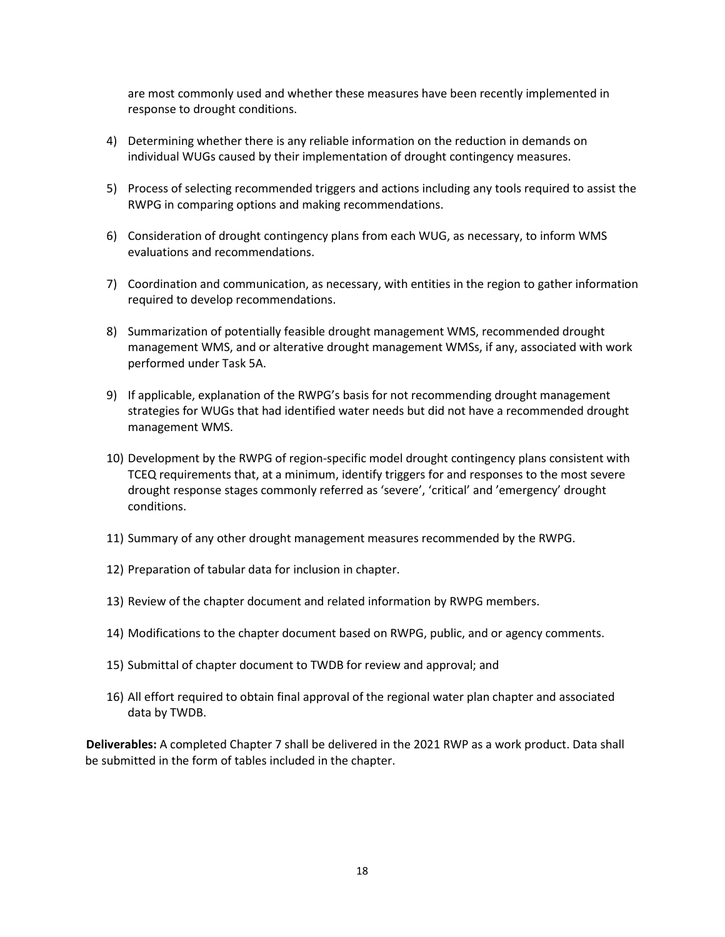are most commonly used and whether these measures have been recently implemented in response to drought conditions.

- 4) Determining whether there is any reliable information on the reduction in demands on individual WUGs caused by their implementation of drought contingency measures.
- 5) Process of selecting recommended triggers and actions including any tools required to assist the RWPG in comparing options and making recommendations.
- 6) Consideration of drought contingency plans from each WUG, as necessary, to inform WMS evaluations and recommendations.
- 7) Coordination and communication, as necessary, with entities in the region to gather information required to develop recommendations.
- 8) Summarization of potentially feasible drought management WMS, recommended drought management WMS, and or alterative drought management WMSs, if any, associated with work performed under Task 5A.
- 9) If applicable, explanation of the RWPG's basis for not recommending drought management strategies for WUGs that had identified water needs but did not have a recommended drought management WMS.
- 10) Development by the RWPG of region-specific model drought contingency plans consistent with TCEQ requirements that, at a minimum, identify triggers for and responses to the most severe drought response stages commonly referred as 'severe', 'critical' and 'emergency' drought conditions.
- 11) Summary of any other drought management measures recommended by the RWPG.
- 12) Preparation of tabular data for inclusion in chapter.
- 13) Review of the chapter document and related information by RWPG members.
- 14) Modifications to the chapter document based on RWPG, public, and or agency comments.
- 15) Submittal of chapter document to TWDB for review and approval; and
- 16) All effort required to obtain final approval of the regional water plan chapter and associated data by TWDB.

**Deliverables:** A completed Chapter 7 shall be delivered in the 2021 RWP as a work product. Data shall be submitted in the form of tables included in the chapter.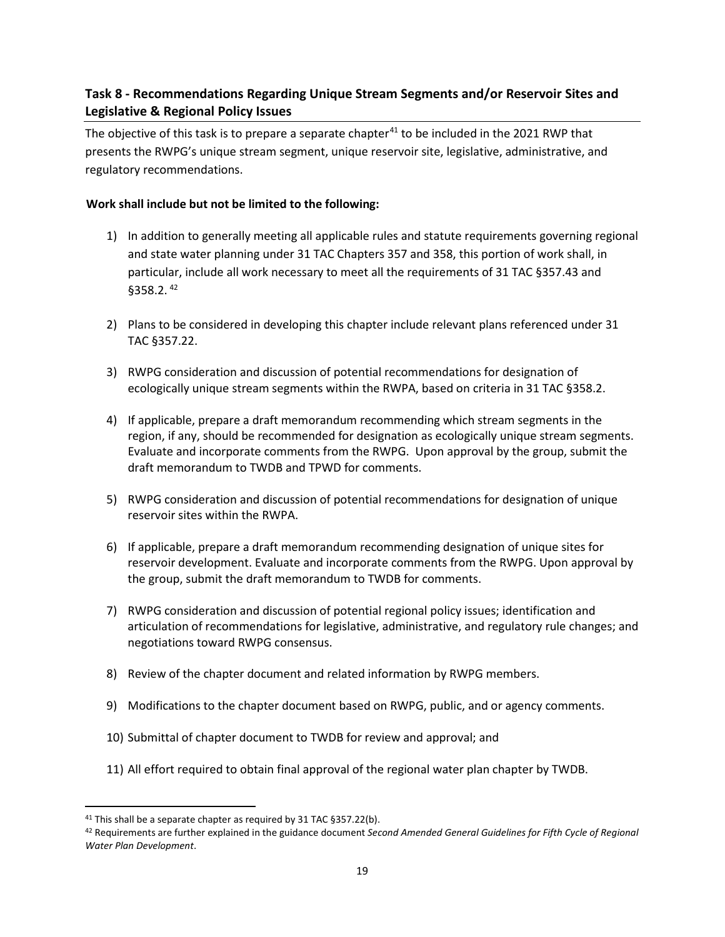# <span id="page-18-0"></span>**Task 8 - Recommendations Regarding Unique Stream Segments and/or Reservoir Sites and Legislative & Regional Policy Issues**

The objective of this task is to prepare a separate chapter<sup>[41](#page-18-1)</sup> to be included in the 2021 RWP that presents the RWPG's unique stream segment, unique reservoir site, legislative, administrative, and regulatory recommendations.

# **Work shall include but not be limited to the following:**

- 1) In addition to generally meeting all applicable rules and statute requirements governing regional and state water planning under 31 TAC Chapters 357 and 358, this portion of work shall, in particular, include all work necessary to meet all the requirements of 31 TAC §357.43 and §358.2. [42](#page-18-2)
- 2) Plans to be considered in developing this chapter include relevant plans referenced under 31 TAC §357.22.
- 3) RWPG consideration and discussion of potential recommendations for designation of ecologically unique stream segments within the RWPA, based on criteria in 31 TAC §358.2.
- 4) If applicable, prepare a draft memorandum recommending which stream segments in the region, if any, should be recommended for designation as ecologically unique stream segments. Evaluate and incorporate comments from the RWPG. Upon approval by the group, submit the draft memorandum to TWDB and TPWD for comments.
- 5) RWPG consideration and discussion of potential recommendations for designation of unique reservoir sites within the RWPA.
- 6) If applicable, prepare a draft memorandum recommending designation of unique sites for reservoir development. Evaluate and incorporate comments from the RWPG. Upon approval by the group, submit the draft memorandum to TWDB for comments.
- 7) RWPG consideration and discussion of potential regional policy issues; identification and articulation of recommendations for legislative, administrative, and regulatory rule changes; and negotiations toward RWPG consensus.
- 8) Review of the chapter document and related information by RWPG members.
- 9) Modifications to the chapter document based on RWPG, public, and or agency comments.
- 10) Submittal of chapter document to TWDB for review and approval; and
- 11) All effort required to obtain final approval of the regional water plan chapter by TWDB.

<span id="page-18-1"></span><sup>41</sup> This shall be a separate chapter as required by 31 TAC §357.22(b).

<span id="page-18-2"></span><sup>42</sup> Requirements are further explained in the guidance document *Second Amended General Guidelines for Fifth Cycle of Regional Water Plan Development*.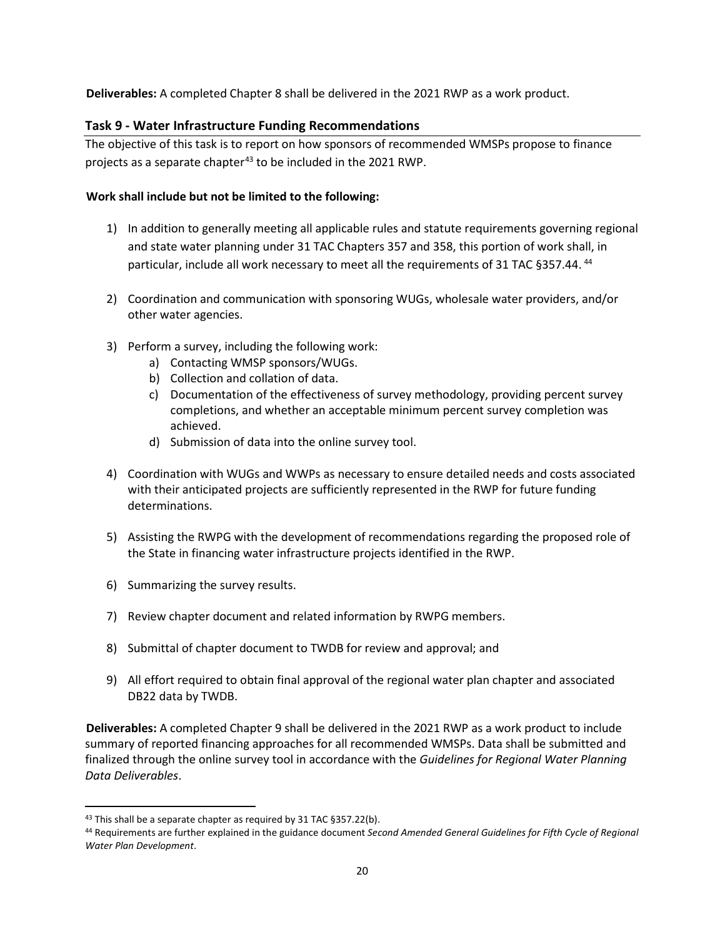**Deliverables:** A completed Chapter 8 shall be delivered in the 2021 RWP as a work product.

### <span id="page-19-0"></span>**Task 9 - Water Infrastructure Funding Recommendations**

The objective of this task is to report on how sponsors of recommended WMSPs propose to finance projects as a separate chapter $43$  to be included in the 2021 RWP.

#### **Work shall include but not be limited to the following:**

- 1) In addition to generally meeting all applicable rules and statute requirements governing regional and state water planning under 31 TAC Chapters 357 and 358, this portion of work shall, in particular, include all work necessary to meet all the requirements of 31 TAC §357.[44](#page-19-2).<sup>44</sup>
- 2) Coordination and communication with sponsoring WUGs, wholesale water providers, and/or other water agencies.
- 3) Perform a survey, including the following work:
	- a) Contacting WMSP sponsors/WUGs.
	- b) Collection and collation of data.
	- c) Documentation of the effectiveness of survey methodology, providing percent survey completions, and whether an acceptable minimum percent survey completion was achieved.
	- d) Submission of data into the online survey tool.
- 4) Coordination with WUGs and WWPs as necessary to ensure detailed needs and costs associated with their anticipated projects are sufficiently represented in the RWP for future funding determinations.
- 5) Assisting the RWPG with the development of recommendations regarding the proposed role of the State in financing water infrastructure projects identified in the RWP.
- 6) Summarizing the survey results.
- 7) Review chapter document and related information by RWPG members.
- 8) Submittal of chapter document to TWDB for review and approval; and
- 9) All effort required to obtain final approval of the regional water plan chapter and associated DB22 data by TWDB.

**Deliverables:** A completed Chapter 9 shall be delivered in the 2021 RWP as a work product to include summary of reported financing approaches for all recommended WMSPs. Data shall be submitted and finalized through the online survey tool in accordance with the *Guidelines for Regional Water Planning Data Deliverables*.

<span id="page-19-1"></span><sup>43</sup> This shall be a separate chapter as required by 31 TAC §357.22(b).

<span id="page-19-2"></span><sup>44</sup> Requirements are further explained in the guidance document *Second Amended General Guidelines for Fifth Cycle of Regional Water Plan Development*.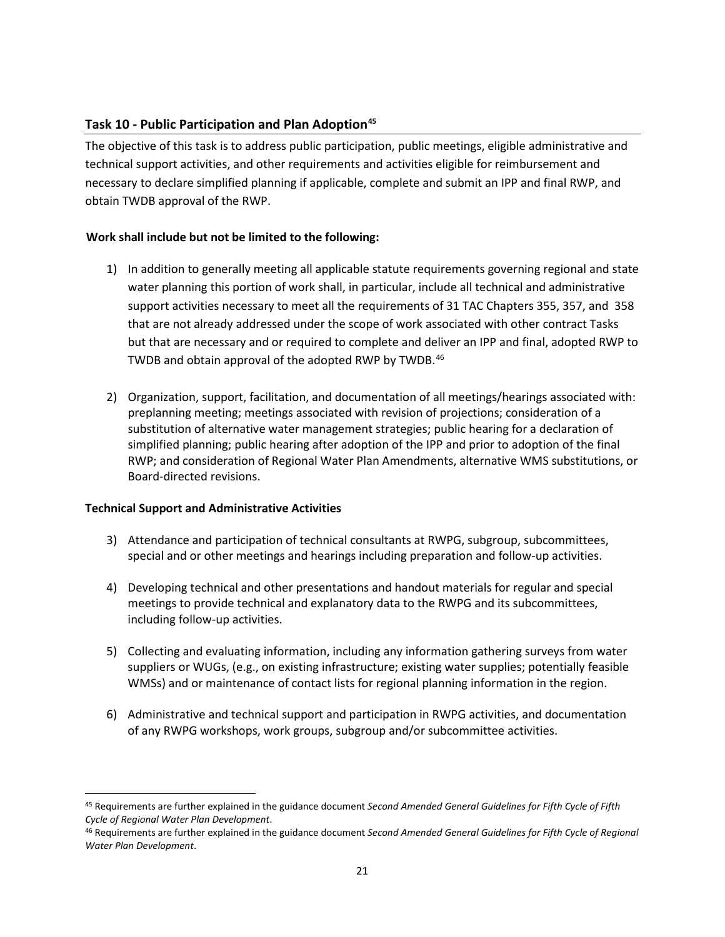### <span id="page-20-0"></span>**Task 10 - Public Participation and Plan Adoption[45](#page-20-1)**

The objective of this task is to address public participation, public meetings, eligible administrative and technical support activities, and other requirements and activities eligible for reimbursement and necessary to declare simplified planning if applicable, complete and submit an IPP and final RWP, and obtain TWDB approval of the RWP.

#### **Work shall include but not be limited to the following:**

- 1) In addition to generally meeting all applicable statute requirements governing regional and state water planning this portion of work shall, in particular, include all technical and administrative support activities necessary to meet all the requirements of 31 TAC Chapters 355, 357, and 358 that are not already addressed under the scope of work associated with other contract Tasks but that are necessary and or required to complete and deliver an IPP and final, adopted RWP to TWDB and obtain approval of the adopted RWP by TWDB.<sup>[46](#page-20-2)</sup>
- 2) Organization, support, facilitation, and documentation of all meetings/hearings associated with: preplanning meeting; meetings associated with revision of projections; consideration of a substitution of alternative water management strategies; public hearing for a declaration of simplified planning; public hearing after adoption of the IPP and prior to adoption of the final RWP; and consideration of Regional Water Plan Amendments, alternative WMS substitutions, or Board-directed revisions.

#### **Technical Support and Administrative Activities**

- 3) Attendance and participation of technical consultants at RWPG, subgroup, subcommittees, special and or other meetings and hearings including preparation and follow-up activities.
- 4) Developing technical and other presentations and handout materials for regular and special meetings to provide technical and explanatory data to the RWPG and its subcommittees, including follow-up activities.
- 5) Collecting and evaluating information, including any information gathering surveys from water suppliers or WUGs, (e.g., on existing infrastructure; existing water supplies; potentially feasible WMSs) and or maintenance of contact lists for regional planning information in the region.
- 6) Administrative and technical support and participation in RWPG activities, and documentation of any RWPG workshops, work groups, subgroup and/or subcommittee activities.

<span id="page-20-1"></span><sup>45</sup> Requirements are further explained in the guidance document *Second Amended General Guidelines for Fifth Cycle of Fifth Cycle of Regional Water Plan Development*.

<span id="page-20-2"></span><sup>46</sup> Requirements are further explained in the guidance document *Second Amended General Guidelines for Fifth Cycle of Regional Water Plan Development*.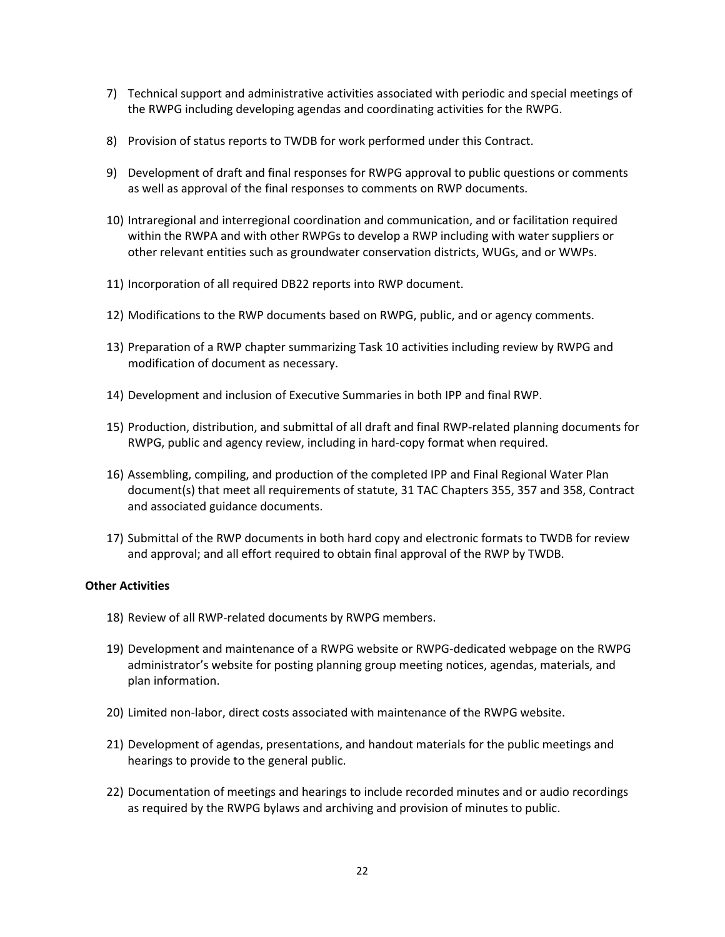- 7) Technical support and administrative activities associated with periodic and special meetings of the RWPG including developing agendas and coordinating activities for the RWPG.
- 8) Provision of status reports to TWDB for work performed under this Contract.
- 9) Development of draft and final responses for RWPG approval to public questions or comments as well as approval of the final responses to comments on RWP documents.
- 10) Intraregional and interregional coordination and communication, and or facilitation required within the RWPA and with other RWPGs to develop a RWP including with water suppliers or other relevant entities such as groundwater conservation districts, WUGs, and or WWPs.
- 11) Incorporation of all required DB22 reports into RWP document.
- 12) Modifications to the RWP documents based on RWPG, public, and or agency comments.
- 13) Preparation of a RWP chapter summarizing Task 10 activities including review by RWPG and modification of document as necessary.
- 14) Development and inclusion of Executive Summaries in both IPP and final RWP.
- 15) Production, distribution, and submittal of all draft and final RWP-related planning documents for RWPG, public and agency review, including in hard-copy format when required.
- 16) Assembling, compiling, and production of the completed IPP and Final Regional Water Plan document(s) that meet all requirements of statute, 31 TAC Chapters 355, 357 and 358, Contract and associated guidance documents.
- 17) Submittal of the RWP documents in both hard copy and electronic formats to TWDB for review and approval; and all effort required to obtain final approval of the RWP by TWDB.

#### **Other Activities**

- 18) Review of all RWP-related documents by RWPG members.
- 19) Development and maintenance of a RWPG website or RWPG-dedicated webpage on the RWPG administrator's website for posting planning group meeting notices, agendas, materials, and plan information.
- 20) Limited non-labor, direct costs associated with maintenance of the RWPG website.
- 21) Development of agendas, presentations, and handout materials for the public meetings and hearings to provide to the general public.
- 22) Documentation of meetings and hearings to include recorded minutes and or audio recordings as required by the RWPG bylaws and archiving and provision of minutes to public.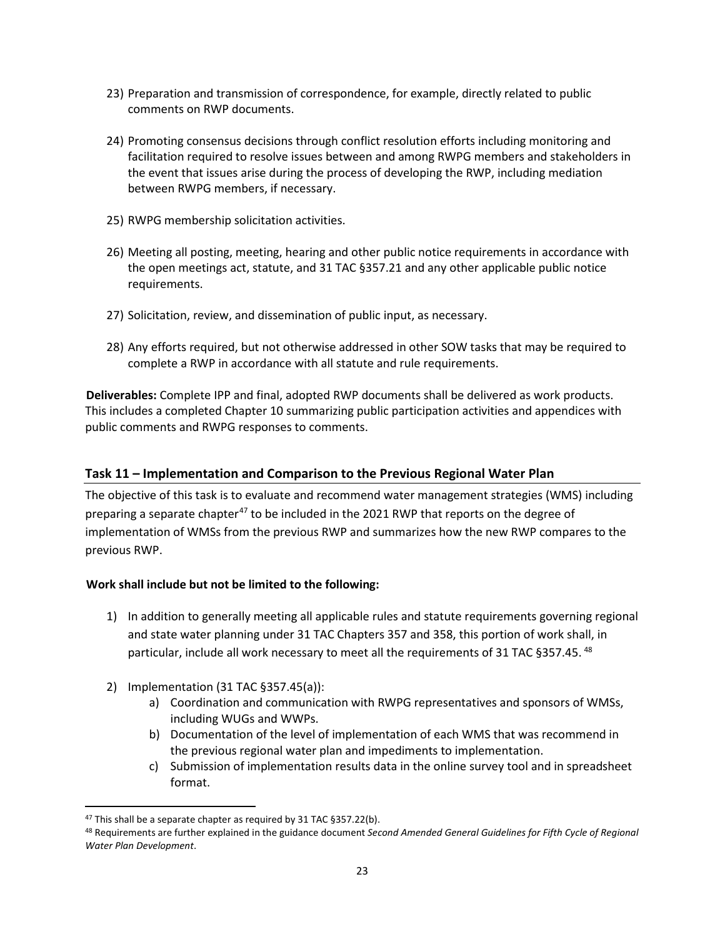- 23) Preparation and transmission of correspondence, for example, directly related to public comments on RWP documents.
- 24) Promoting consensus decisions through conflict resolution efforts including monitoring and facilitation required to resolve issues between and among RWPG members and stakeholders in the event that issues arise during the process of developing the RWP, including mediation between RWPG members, if necessary.
- 25) RWPG membership solicitation activities.
- 26) Meeting all posting, meeting, hearing and other public notice requirements in accordance with the open meetings act, statute, and 31 TAC §357.21 and any other applicable public notice requirements.
- 27) Solicitation, review, and dissemination of public input, as necessary.
- 28) Any efforts required, but not otherwise addressed in other SOW tasks that may be required to complete a RWP in accordance with all statute and rule requirements.

**Deliverables:** Complete IPP and final, adopted RWP documents shall be delivered as work products. This includes a completed Chapter 10 summarizing public participation activities and appendices with public comments and RWPG responses to comments.

# <span id="page-22-0"></span>**Task 11 – Implementation and Comparison to the Previous Regional Water Plan**

The objective of this task is to evaluate and recommend water management strategies (WMS) including preparing a separate chapter<sup>[47](#page-22-1)</sup> to be included in the 2021 RWP that reports on the degree of implementation of WMSs from the previous RWP and summarizes how the new RWP compares to the previous RWP.

# **Work shall include but not be limited to the following:**

- 1) In addition to generally meeting all applicable rules and statute requirements governing regional and state water planning under 31 TAC Chapters 357 and 358, this portion of work shall, in particular, include all work necessary to meet all the requirements of 31 TAC §357.45.<sup>[48](#page-22-2)</sup>
- 2) Implementation (31 TAC §357.45(a)):
	- a) Coordination and communication with RWPG representatives and sponsors of WMSs, including WUGs and WWPs.
	- b) Documentation of the level of implementation of each WMS that was recommend in the previous regional water plan and impediments to implementation.
	- c) Submission of implementation results data in the online survey tool and in spreadsheet format.

<span id="page-22-1"></span><sup>47</sup> This shall be a separate chapter as required by 31 TAC §357.22(b).

<span id="page-22-2"></span><sup>48</sup> Requirements are further explained in the guidance document *Second Amended General Guidelines for Fifth Cycle of Regional Water Plan Development*.